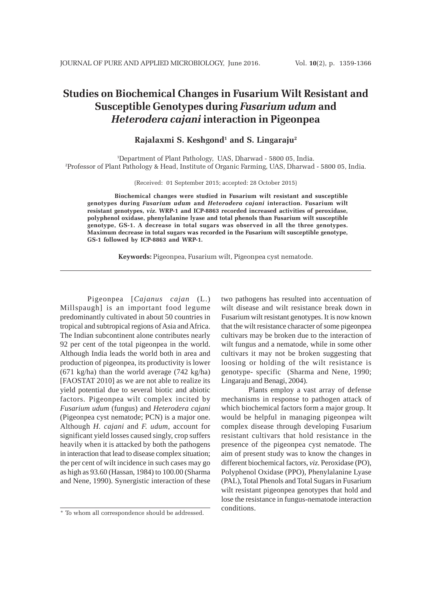# **Studies on Biochemical Changes in Fusarium Wilt Resistant and Susceptible Genotypes during** *Fusarium udum* **and** *Heterodera cajani* **interaction in Pigeonpea**

## **Rajalaxmi S. Keshgond1 and S. Lingaraju2**

1 Department of Plant Pathology, UAS, Dharwad - 5800 05, India. 2 Professor of Plant Pathology & Head, Institute of Organic Farming, UAS, Dharwad - 5800 05, India.

(Received: 01 September 2015; accepted: 28 October 2015)

**Biochemical changes were studied in Fusarium wilt resistant and susceptible genotypes during** *Fusarium udum* **and** *Heterodera cajani* **interaction. Fusarium wilt resistant genotypes,** *viz***. WRP-1 and ICP-8863 recorded increased activities of peroxidase, polyphenol oxidase, phenylalanine lyase and total phenols than Fusarium wilt susceptible genotype, GS-1. A decrease in total sugars was observed in all the three genotypes. Maximum decrease in total sugars was recorded in the Fusarium wilt susceptible genotype, GS-1 followed by ICP-8863 and WRP-1.**

**Keywords:** Pigeonpea, Fusarium wilt, Pigeonpea cyst nematode.

Pigeonpea [*Cajanus cajan* (L.) Millspaugh] is an important food legume predominantly cultivated in about 50 countries in tropical and subtropical regions of Asia and Africa. The Indian subcontinent alone contributes nearly 92 per cent of the total pigeonpea in the world. Although India leads the world both in area and production of pigeonpea, its productivity is lower (671 kg/ha) than the world average (742 kg/ha) [FAOSTAT 2010] as we are not able to realize its yield potential due to several biotic and abiotic factors. Pigeonpea wilt complex incited by *Fusarium udum* (fungus) and *Heterodera cajani* (Pigeonpea cyst nematode; PCN) is a major one. Although *H. cajani* and *F. udum*, account for significant yield losses caused singly, crop suffers heavily when it is attacked by both the pathogens in interaction that lead to disease complex situation; the per cent of wilt incidence in such cases may go as high as 93.60 (Hassan, 1984) to 100.00 (Sharma and Nene, 1990). Synergistic interaction of these

two pathogens has resulted into accentuation of wilt disease and wilt resistance break down in Fusarium wilt resistant genotypes. It is now known that the wilt resistance character of some pigeonpea cultivars may be broken due to the interaction of wilt fungus and a nematode, while in some other cultivars it may not be broken suggesting that loosing or holding of the wilt resistance is genotype- specific (Sharma and Nene, 1990; Lingaraju and Benagi, 2004).

Plants employ a vast array of defense mechanisms in response to pathogen attack of which biochemical factors form a major group. It would be helpful in managing pigeonpea wilt complex disease through developing Fusarium resistant cultivars that hold resistance in the presence of the pigeonpea cyst nematode. The aim of present study was to know the changes in different biochemical factors, *viz*. Peroxidase (PO), Polyphenol Oxidase (PPO), Phenylalanine Lyase (PAL), Total Phenols and Total Sugars in Fusarium wilt resistant pigeonpea genotypes that hold and lose the resistance in fungus-nematode interaction conditions.

<sup>\*</sup> To whom all correspondence should be addressed.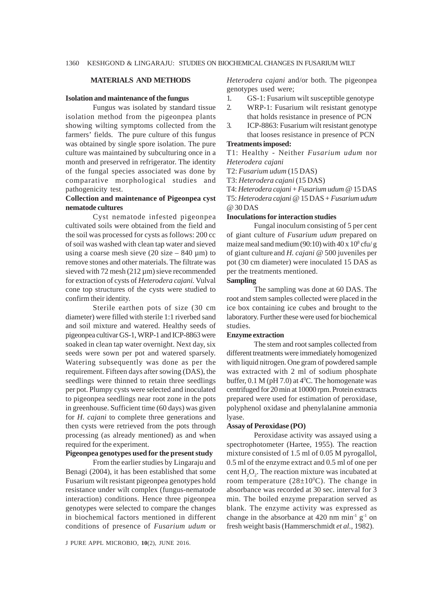### **MATERIALS AND METHODS**

#### **Isolation and maintenance of the fungus**

Fungus was isolated by standard tissue isolation method from the pigeonpea plants showing wilting symptoms collected from the farmers' fields. The pure culture of this fungus was obtained by single spore isolation. The pure culture was maintained by subculturing once in a month and preserved in refrigerator. The identity of the fungal species associated was done by comparative morphological studies and pathogenicity test.

## **Collection and maintenance of Pigeonpea cyst nematode cultures**

Cyst nematode infested pigeonpea cultivated soils were obtained from the field and the soil was processed for cysts as follows: 200 cc of soil was washed with clean tap water and sieved using a coarse mesh sieve (20 size  $-840 \mu m$ ) to remove stones and other materials. The filtrate was sieved with 72 mesh (212 µm) sieve recommended for extraction of cysts of *Heterodera cajani.* Vulval cone top structures of the cysts were studied to confirm their identity.

Sterile earthen pots of size (30 cm diameter) were filled with sterile 1:1 riverbed sand and soil mixture and watered. Healthy seeds of pigeonpea cultivar GS-1, WRP-1 and ICP-8863 were soaked in clean tap water overnight. Next day, six seeds were sown per pot and watered sparsely. Watering subsequently was done as per the requirement. Fifteen days after sowing (DAS), the seedlings were thinned to retain three seedlings per pot. Plumpy cysts were selected and inoculated to pigeonpea seedlings near root zone in the pots in greenhouse. Sufficient time (60 days) was given for *H. cajani* to complete three generations and then cysts were retrieved from the pots through processing (as already mentioned) as and when required for the experiment.

## **Pigeonpea genotypes used for the present study**

From the earlier studies by Lingaraju and Benagi (2004), it has been established that some Fusarium wilt resistant pigeonpea genotypes hold resistance under wilt complex (fungus-nematode interaction) conditions. Hence three pigeonpea genotypes were selected to compare the changes in biochemical factors mentioned in different conditions of presence of *Fusarium udum* or

J PURE APPL MICROBIO*,* **10**(2), JUNE 2016.

*Heterodera cajani* and/or both. The pigeonpea genotypes used were;

- 1. GS-1: Fusarium wilt susceptible genotype
- 2. WRP-1: Fusarium wilt resistant genotype that holds resistance in presence of PCN
- 3. ICP-8863: Fusarium wilt resistant genotype that looses resistance in presence of PCN

#### **Treatments imposed:**

T1: Healthy - Neither *Fusarium udum* nor *Heterodera cajani*

T2: *Fusarium udum* (15 DAS)

T3: *Heterodera cajani* (15 DAS)

T4: *Heterodera cajani* + *Fusarium udum* @ 15 DAS T5: *Heterodera cajani* @ 15 DAS + *Fusarium udum* @ 30 DAS

## **Inoculations for interaction studies**

Fungal inoculum consisting of 5 per cent of giant culture of *Fusarium udum* prepared on maize meal sand medium  $(90:10)$  with  $40 \times 10^8$  cfu/g of giant culture and *H. cajani* @ 500 juveniles per pot (30 cm diameter) were inoculated 15 DAS as per the treatments mentioned.

#### **Sampling**

The sampling was done at 60 DAS. The root and stem samples collected were placed in the ice box containing ice cubes and brought to the laboratory. Further these were used for biochemical studies.

### **Enzyme extraction**

The stem and root samples collected from different treatments were immediately homogenized with liquid nitrogen. One gram of powdered sample was extracted with 2 ml of sodium phosphate buffer,  $0.1 M$  (pH  $7.0$ ) at  $4^{\circ}$ C. The homogenate was centrifuged for 20min at 10000 rpm. Protein extracts prepared were used for estimation of peroxidase, polyphenol oxidase and phenylalanine ammonia lyase.

#### **Assay of Peroxidase (PO)**

Peroxidase activity was assayed using a spectrophotometer (Hartee, 1955). The reaction mixture consisted of 1.5 ml of 0.05 M pyrogallol, 0.5 ml of the enzyme extract and 0.5 ml of one per cent  $H_2O_2$ . The reaction mixture was incubated at room temperature  $(28\pm10^0C)$ . The change in absorbance was recorded at 30 sec. interval for 3 min. The boiled enzyme preparation served as blank. The enzyme activity was expressed as change in the absorbance at  $420 \text{ nm min}^{-1} \text{ g}^{-1}$  on fresh weight basis (Hammerschmidt *et al.,* 1982).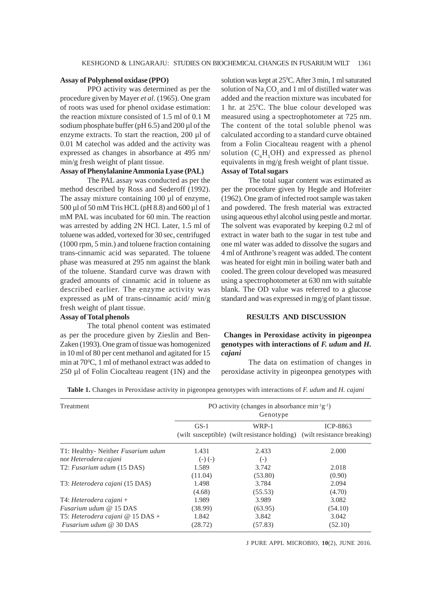### **Assay of Polyphenol oxidase (PPO)**

PPO activity was determined as per the procedure given by Mayer *et al.* (1965). One gram of roots was used for phenol oxidase estimation: the reaction mixture consisted of 1.5 ml of 0.1 M sodium phosphate buffer ( $pH$  6.5) and 200  $\mu$ l of the enzyme extracts. To start the reaction, 200 µl of 0.01 M catechol was added and the activity was expressed as changes in absorbance at 495 nm/ min/g fresh weight of plant tissue.

## **Assay of Phenylalanine Ammonia Lyase (PAL)**

The PAL assay was conducted as per the method described by Ross and Sederoff (1992). The assay mixture containing 100 µl of enzyme, 500 µl of 50 mM Tris HCL (pH 8.8) and 600 µl of 1 mM PAL was incubated for 60 min. The reaction was arrested by adding 2N HCl. Later, 1.5 ml of toluene was added, vortexed for 30 sec, centrifuged (1000 rpm, 5 min.) and toluene fraction containing trans-cinnamic acid was separated. The toluene phase was measured at 295 nm against the blank of the toluene. Standard curve was drawn with graded amounts of cinnamic acid in toluene as described earlier. The enzyme activity was expressed as µM of trans-cinnamic acid/ min/g fresh weight of plant tissue.

# **Assay of Total phenols**

The total phenol content was estimated as per the procedure given by Zieslin and Ben-Zaken (1993). One gram of tissue was homogenized in 10 ml of 80 per cent methanol and agitated for 15 min at 70°C, 1 ml of methanol extract was added to 250 µl of Folin Ciocalteau reagent (1N) and the

solution was kept at 25<sup>o</sup>C. After 3 min, 1 ml saturated solution of  $\text{Na}_2\text{CO}_3$  and 1 ml of distilled water was added and the reaction mixture was incubated for 1 hr. at 25°C. The blue colour developed was measured using a spectrophotometer at 725 nm. The content of the total soluble phenol was calculated according to a standard curve obtained from a Folin Ciocalteau reagent with a phenol solution  $(C_6H_5OH)$  and expressed as phenol equivalents in mg/g fresh weight of plant tissue. **Assay of Total sugars**

The total sugar content was estimated as per the procedure given by Hegde and Hofreiter (1962). One gram of infected root sample was taken and powdered. The fresh material was extracted using aqueous ethyl alcohol using pestle and mortar. The solvent was evaporated by keeping 0.2 ml of extract in water bath to the sugar in test tube and one ml water was added to dissolve the sugars and 4 ml of Anthrone's reagent was added. The content was heated for eight min in boiling water bath and cooled. The green colour developed was measured using a spectrophotometer at 630 nm with suitable blank. The OD value was referred to a glucose standard and was expressed in mg/g of plant tissue.

## **RESULTS AND DISCUSSION**

## **Changes in Peroxidase activity in pigeonpea genotypes with interactions of** *F. udum* **and** *H. cajani*

The data on estimation of changes in peroxidase activity in pigeonpea genotypes with

| Treatment                          | PO activity (changes in absorbance $min^{-1}g^{-1}$ )<br>Genotype |         |                                                                                     |
|------------------------------------|-------------------------------------------------------------------|---------|-------------------------------------------------------------------------------------|
|                                    | $GS-1$                                                            | WRP-1   | ICP-8863<br>(wilt susceptible) (wilt resistance holding) (wilt resistance breaking) |
| T1: Healthy- Neither Fusarium udum | 1.431                                                             | 2.433   | 2.000                                                                               |
| nor Heterodera cajani              | $(-)$ $(-)$                                                       | $(-)$   |                                                                                     |
| T2: Fusarium udum (15 DAS)         | 1.589                                                             | 3.742   | 2.018                                                                               |
|                                    | (11.04)                                                           | (53.80) | (0.90)                                                                              |
| T3: Heterodera cajani (15 DAS)     | 1.498                                                             | 3.784   | 2.094                                                                               |
|                                    | (4.68)                                                            | (55.53) | (4.70)                                                                              |
| $T4$ : Heterodera cajani +         | 1.989                                                             | 3.989   | 3.082                                                                               |
| <i>Fusarium udum @</i> 15 DAS      | (38.99)                                                           | (63.95) | (54.10)                                                                             |
| T5: Heterodera cajani $@$ 15 DAS + | 1.842                                                             | 3.842   | 3.042                                                                               |
| <i>Fusarium udum @ 30 DAS</i>      | (28.72)                                                           | (57.83) | (52.10)                                                                             |

**Table 1.** Changes in Peroxidase activity in pigeonpea genotypes with interactions of *F. udum* and *H. cajani*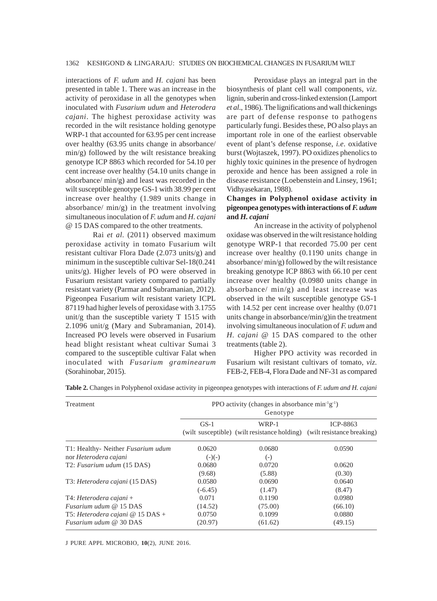interactions of *F. udum* and *H. cajani* has been presented in table 1. There was an increase in the activity of peroxidase in all the genotypes when inoculated with *Fusarium udum* and *Heterodera cajani*. The highest peroxidase activity was recorded in the wilt resistance holding genotype WRP-1 that accounted for 63.95 per cent increase over healthy (63.95 units change in absorbance/ min/g) followed by the wilt resistance breaking genotype ICP 8863 which recorded for 54.10 per cent increase over healthy (54.10 units change in absorbance/ min/g) and least was recorded in the wilt susceptible genotype GS-1 with 38.99 per cent increase over healthy (1.989 units change in absorbance/ min/g) in the treatment involving simultaneous inoculation of *F. udum* and *H. cajani* @ 15 DAS compared to the other treatments.

Rai *et al*. (2011) observed maximum peroxidase activity in tomato Fusarium wilt resistant cultivar Flora Dade (2.073 units/g) and minimum in the susceptible cultivar Sel-18(0.241 units/g). Higher levels of PO were observed in Fusarium resistant variety compared to partially resistant variety (Parmar and Subramanian, 2012). Pigeonpea Fusarium wilt resistant variety ICPL 87119 had higher levels of peroxidase with 3.1755 unit/g than the susceptible variety T 1515 with 2.1096 unit/g (Mary and Subramanian, 2014). Increased PO levels were observed in Fusarium head blight resistant wheat cultivar Sumai 3 compared to the susceptible cultivar Falat when inoculated with *Fusarium graminearum* (Sorahinobar, 2015).

Peroxidase plays an integral part in the biosynthesis of plant cell wall components, *viz*. lignin, suberin and cross-linked extension (Lamport *et al*., 1986). The lignifications and wall thickenings are part of defense response to pathogens particularly fungi. Besides these, PO also plays an important role in one of the earliest observable event of plant's defense response, *i.e*. oxidative burst (Wojtaszek, 1997). PO oxidizes phenolics to highly toxic quinines in the presence of hydrogen peroxide and hence has been assigned a role in disease resistance (Loebenstein and Linsey, 1961; Vidhyasekaran, 1988).

# **Changes in Polyphenol oxidase activity in pigeonpea genotypes with interactions of** *F. udum* **and** *H. cajani*

An increase in the activity of polyphenol oxidase was observed in the wilt resistance holding genotype WRP-1 that recorded 75.00 per cent increase over healthy (0.1190 units change in absorbance/ min/g) followed by the wilt resistance breaking genotype ICP 8863 with 66.10 per cent increase over healthy (0.0980 units change in absorbance/ min/g) and least increase was observed in the wilt susceptible genotype GS-1 with 14.52 per cent increase over healthy (0.071 units change in absorbance/min/g)in the treatment involving simultaneous inoculation of *F. udum* and *H. cajani* @ 15 DAS compared to the other treatments (table 2).

Higher PPO activity was recorded in Fusarium wilt resistant cultivars of tomato, *viz*. FEB-2, FEB-4, Flora Dade and NF-31 as compared

| Treatment                          | PPO activity (changes in absorbance $\min^{-1}g^{-1}$ )<br>Genotype |         |                                                                                            |
|------------------------------------|---------------------------------------------------------------------|---------|--------------------------------------------------------------------------------------------|
|                                    | $GS-1$                                                              | WRP-1   | <b>ICP-8863</b><br>(wilt susceptible) (wilt resistance holding) (wilt resistance breaking) |
| T1: Healthy- Neither Fusarium udum | 0.0620                                                              | 0.0680  | 0.0590                                                                                     |
| nor Heterodera cajani              | $(-)(-)$                                                            | $(-)$   |                                                                                            |
| T2: Fusarium udum (15 DAS)         | 0.0680                                                              | 0.0720  | 0.0620                                                                                     |
|                                    | (9.68)                                                              | (5.88)  | (0.30)                                                                                     |
| T3: Heterodera cajani (15 DAS)     | 0.0580                                                              | 0.0690  | 0.0640                                                                                     |
|                                    | $(-6.45)$                                                           | (1.47)  | (8.47)                                                                                     |
| $T4$ : Heterodera cajani +         | 0.071                                                               | 0.1190  | 0.0980                                                                                     |
| <i>Fusarium udum @</i> 15 DAS      | (14.52)                                                             | (75.00) | (66.10)                                                                                    |
| T5: Heterodera cajani $@$ 15 DAS + | 0.0750                                                              | 0.1099  | 0.0880                                                                                     |
| <i>Fusarium udum @ 30 DAS</i>      | (20.97)                                                             | (61.62) | (49.15)                                                                                    |

**Table 2.** Changes in Polyphenol oxidase activity in pigeonpea genotypes with interactions of *F. udum and H. cajani*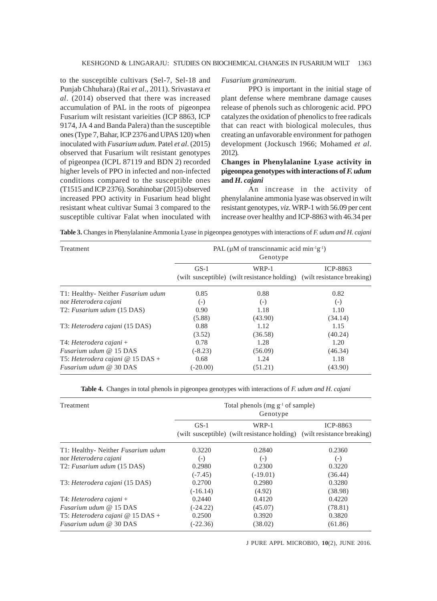to the susceptible cultivars (Sel-7, Sel-18 and Punjab Chhuhara) (Rai *et al*., 2011). Srivastava *et al*. (2014) observed that there was increased accumulation of PAL in the roots of pigeonpea Fusarium wilt resistant varieities (ICP 8863, ICP 9174, JA 4 and Banda Palera) than the susceptible ones (Type 7, Bahar, ICP 2376 and UPAS 120) when inoculated with *Fusarium udum.* Patel *et al*. (2015) observed that Fusarium wilt resistant genotypes of pigeonpea (ICPL 87119 and BDN 2) recorded higher levels of PPO in infected and non-infected conditions compared to the susceptible ones (T1515 and ICP 2376). Sorahinobar (2015) observed increased PPO activity in Fusarium head blight resistant wheat cultivar Sumai 3 compared to the susceptible cultivar Falat when inoculated with

### *Fusarium graminearum.*

PPO is important in the initial stage of plant defense where membrane damage causes release of phenols such as chlorogenic acid. PPO catalyzes the oxidation of phenolics to free radicals that can react with biological molecules, thus creating an unfavorable environment for pathogen development (Jockusch 1966; Mohamed *et al*. 2012).

# **Changes in Phenylalanine Lyase activity in pigeonpea genotypes with interactions of** *F. udum* **and** *H. cajani*

An increase in the activity of phenylalanine ammonia lyase was observed in wilt resistant genotypes, *viz*. WRP-1 with 56.09 per cent increase over healthy and ICP-8863 with 46.34 per

**Table 3.** Changes in Phenylalanine Ammonia Lyase in pigeonpea genotypes with interactions of *F. udum and H. cajani*

| Treatment                          | PAL ( $\mu$ M of transcinnamic acid min <sup>-1</sup> g <sup>-1</sup> )<br>Genotype |         |                                                                                            |
|------------------------------------|-------------------------------------------------------------------------------------|---------|--------------------------------------------------------------------------------------------|
|                                    | $GS-1$                                                                              | WRP-1   | <b>ICP-8863</b><br>(wilt susceptible) (wilt resistance holding) (wilt resistance breaking) |
| T1: Healthy- Neither Fusarium udum | 0.85                                                                                | 0.88    | 0.82                                                                                       |
| nor Heterodera cajani              | $(-)$                                                                               | $(-)$   | $(-)$                                                                                      |
| T2: Fusarium udum (15 DAS)         | 0.90                                                                                | 1.18    | 1.10                                                                                       |
|                                    | (5.88)                                                                              | (43.90) | (34.14)                                                                                    |
| T3: Heterodera cajani (15 DAS)     | 0.88                                                                                | 1.12    | 1.15                                                                                       |
|                                    | (3.52)                                                                              | (36.58) | (40.24)                                                                                    |
| $T4$ : Heterodera cajani +         | 0.78                                                                                | 1.28    | 1.20                                                                                       |
| <i>Fusarium udum @</i> 15 DAS      | $(-8.23)$                                                                           | (56.09) | (46.34)                                                                                    |
| T5: Heterodera cajani $@$ 15 DAS + | 0.68                                                                                | 1.24    | 1.18                                                                                       |
| <i>Fusarium udum @ 30 DAS</i>      | $(-20.00)$                                                                          | (51.21) | (43.90)                                                                                    |

**Table 4.** Changes in total phenols in pigeonpea genotypes with interactions of *F. udum and H. cajani*

| Treatment                               | Total phenols (mg $g^{-1}$ of sample)<br>Genotype |            |                                                                         |
|-----------------------------------------|---------------------------------------------------|------------|-------------------------------------------------------------------------|
|                                         | $GS-1$                                            | WRP-1      | <b>ICP-8863</b>                                                         |
|                                         |                                                   |            | (wilt susceptible) (wilt resistance holding) (wilt resistance breaking) |
| T1: Healthy- Neither Fusarium udum      | 0.3220                                            | 0.2840     | 0.2360                                                                  |
| nor Heterodera cajani                   | $(-)$                                             | $(-)$      | $(-)$                                                                   |
| T2: Fusarium udum (15 DAS)              | 0.2980                                            | 0.2300     | 0.3220                                                                  |
|                                         | $(-7.45)$                                         | $(-19.01)$ | (36.44)                                                                 |
| T3: Heterodera cajani (15 DAS)          | 0.2700                                            | 0.2980     | 0.3280                                                                  |
|                                         | $(-16.14)$                                        | (4.92)     | (38.98)                                                                 |
| $T4$ : Heterodera cajani +              | 0.2440                                            | 0.4120     | 0.4220                                                                  |
| <i>Fusarium udum @</i> 15 DAS           | $(-24.22)$                                        | (45.07)    | (78.81)                                                                 |
| T5: Heterodera cajani $\omega$ 15 DAS + | 0.2500                                            | 0.3920     | 0.3820                                                                  |
| <i>Fusarium udum @ 30 DAS</i>           | $(-22.36)$                                        | (38.02)    | (61.86)                                                                 |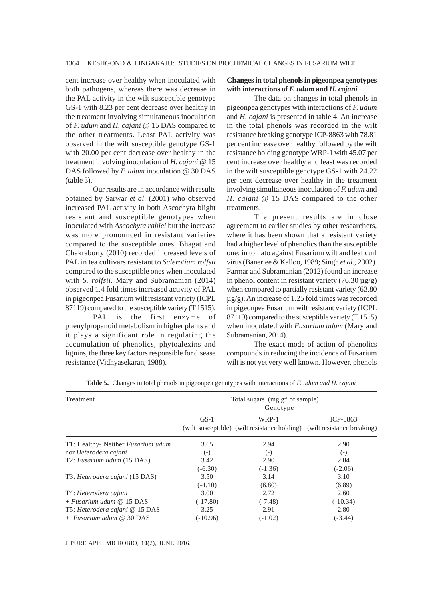cent increase over healthy when inoculated with both pathogens, whereas there was decrease in the PAL activity in the wilt susceptible genotype GS-1 with 8.23 per cent decrease over healthy in the treatment involving simultaneous inoculation of *F. udum* and *H. cajani* @ 15 DAS compared to the other treatments. Least PAL activity was observed in the wilt susceptible genotype GS-1 with 20.00 per cent decrease over healthy in the treatment involving inoculation of *H. cajani* @ 15 DAS followed by *F. udum* inoculation @ 30 DAS (table 3).

Our results are in accordance with results obtained by Sarwar *et al*. (2001) who observed increased PAL activity in both Ascochyta blight resistant and susceptible genotypes when inoculated with *Ascochyta rabiei* but the increase was more pronounced in resistant varieties compared to the susceptible ones. Bhagat and Chakraborty (2010) recorded increased levels of PAL in tea cultivars resistant to *Sclerotium rolfsii* compared to the susceptible ones when inoculated with *S. rolfsii.* Mary and Subramanian (2014) observed 1.4 fold times increased activity of PAL in pigeonpea Fusarium wilt resistant variety (ICPL 87119) compared to the susceptible variety (T 1515).

PAL is the first enzyme of phenylpropanoid metabolism in higher plants and it plays a significant role in regulating the accumulation of phenolics, phytoalexins and lignins, the three key factors responsible for disease resistance (Vidhyasekaran, 1988).

## **Changes in total phenols in pigeonpea genotypes with interactions of** *F. udum* **and** *H. cajani*

The data on changes in total phenols in pigeonpea genotypes with interactions of *F. udum* and *H. cajani* is presented in table 4. An increase in the total phenols was recorded in the wilt resistance breaking genotype ICP-8863 with 78.81 per cent increase over healthy followed by the wilt resistance holding genotype WRP-1 with 45.07 per cent increase over healthy and least was recorded in the wilt susceptible genotype GS-1 with 24.22 per cent decrease over healthy in the treatment involving simultaneous inoculation of *F. udum* and *H. cajani* @ 15 DAS compared to the other treatments.

The present results are in close agreement to earlier studies by other researchers, where it has been shown that a resistant variety had a higher level of phenolics than the susceptible one: in tomato against Fusarium wilt and leaf curl virus (Banerjee & Kalloo, 1989; Singh *et al*., 2002). Parmar and Subramanian (2012) found an increase in phenol content in resistant variety (76.30  $\mu$ g/g) when compared to partially resistant variety (63.80 µg/g). An increase of 1.25 fold times was recorded in pigeonpea Fusarium wilt resistant variety (ICPL 87119) compared to the susceptible variety (T 1515) when inoculated with *Fusarium udum* (Mary and Subramanian, 2014).

The exact mode of action of phenolics compounds in reducing the incidence of Fusarium wilt is not yet very well known. However, phenols

| Treatment                          | Total sugars (mg $g^{-1}$ of sample)<br>Genotype |           |                                                                                            |
|------------------------------------|--------------------------------------------------|-----------|--------------------------------------------------------------------------------------------|
|                                    | $GS-1$                                           | WRP-1     | <b>ICP-8863</b><br>(wilt susceptible) (wilt resistance holding) (wilt resistance breaking) |
| T1: Healthy- Neither Fusarium udum | 3.65                                             | 2.94      | 2.90                                                                                       |
| nor Heterodera cajani              | $(-)$                                            | $(-)$     | $(-)$                                                                                      |
| T2: Fusarium udum (15 DAS)         | 3.42                                             | 2.90      | 2.84                                                                                       |
|                                    | $(-6.30)$                                        | $(-1.36)$ | $(-2.06)$                                                                                  |
| T3: Heterodera cajani (15 DAS)     | 3.50                                             | 3.14      | 3.10                                                                                       |
|                                    | $(-4.10)$                                        | (6.80)    | (6.89)                                                                                     |
| T4: Heterodera cajani              | 3.00                                             | 2.72      | 2.60                                                                                       |
| $+$ <i>Fusarium udum @</i> 15 DAS  | $(-17.80)$                                       | $(-7.48)$ | $(-10.34)$                                                                                 |
| T5: Heterodera cajani @ 15 DAS     | 3.25                                             | 2.91      | 2.80                                                                                       |
| $+$ <i>Fusarium udum</i> @ 30 DAS  | $(-10.96)$                                       | $(-1.02)$ | $(-3.44)$                                                                                  |

**Table 5.** Changes in total phenols in pigeonpea genotypes with interactions of *F. udum and H. cajani*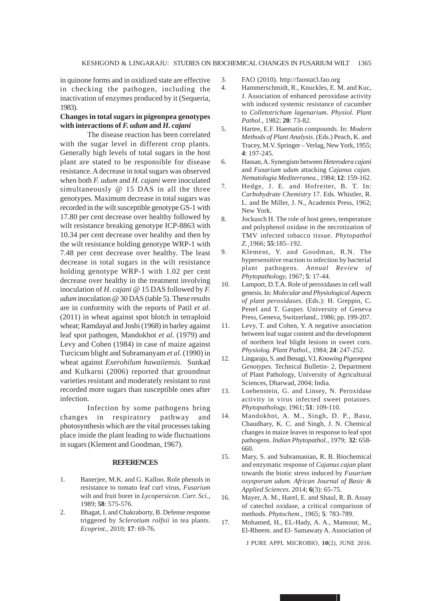in quinone forms and in oxidized state are effective in checking the pathogen, including the inactivation of enzymes produced by it (Sequeria, 1983).

## **Changes in total sugars in pigeonpea genotypes with interactions of** *F. udum* **and** *H. cajani*

The disease reaction has been correlated with the sugar level in different crop plants. Generally high levels of total sugars in the host plant are stated to be responsible for disease resistance. A decrease in total sugars was observed when both *F. udum* and *H. cajani* were inoculated simultaneously @ 15 DAS in all the three genotypes. Maximum decrease in total sugars was recorded in the wilt susceptible genotype GS-1 with 17.80 per cent decrease over healthy followed by wilt resistance breaking genotype ICP-8863 with 10.34 per cent decrease over healthy and then by the wilt resistance holding genotype WRP-1 with 7.48 per cent decrease over healthy. The least decrease in total sugars in the wilt resistance holding genotype WRP-1 with 1.02 per cent decrease over healthy in the treatment involving inoculation of *H. cajani* @ 15 DAS followed by *F. udum* inoculation @ 30 DAS (table 5). These results are in conformity with the reports of Patil *et al*. (2011) in wheat against spot blotch in tetraploid wheat; Ramdayal and Joshi (1968) in barley against leaf spot pathogen, Mandokhot *et al*. (1979) and Levy and Cohen (1984) in case of maize against Turcicum blight and Subramanyam *et al*. (1990) in wheat against *Exerohilum hawaiiensis.* Sunkad and Kulkarni (2006) reported that groundnut varieties resistant and moderately resistant to rust recorded more sugars than susceptible ones after infection.

Infection by some pathogens bring changes in respiratory pathway and photosynthesis which are the vital processes taking place inside the plant leading to wide fluctuations in sugars (Klement and Goodman, 1967).

#### **REFERENCES**

- 1. Banerjee, M.K. and G. Kalloo. Role phenols in resistance to tomato leaf curl virus, *Fusarium* wilt and fruit borer in *Lycopersicon*. *Curr. Sci.,* 1989; **58**: 575-576.
- 2. Bhagat, I. and Chakraborty, B. Defense response triggered by *Sclerotium rolfsii* in tea plants. *Ecoprint.,* 2010; **17**: 69-76.
- 3. FAO (2010). http://faostat3.fao.org
- 4. Hammerschmidt, R., Knuckles, E. M. and Kuc, J. Association of enhanced peroxidase activity with induced systemic resistance of cucumber to *Colletotrichum lagenarium*. *Physiol. Plant Pathol*., 1982; **20**: 73-82.
- 5. Hartee, E.F. Haematin compounds. In: *Modern Methods of Plant Analysis*. (Eds.) Peach, K. and Tracey, M.V. Springer – Verlag, New York, 1955; **4**: 197-245.
- 6. Hassan, A. Synergism between *Heterodera cajani* and *Fusarium udum* attacking *Cajanus cajan. Nematologia Mediterranea.,* 1984; **12**: 159-162.
- 7. Hedge, J. E. and Hofreiter, B. T. In: *Carbohydrate Chemistry* 17. Eds. Whistler, R. L. and Be Miller, J. N., Academis Press, 1962; New York.
- 8. Jockusch H. The role of host genes, temperature and polyphenol oxidase in the necrotization of TMV infected tobacco tissue. *Phytopathol Z.¸*1966; **55**:185–192.
- 9. Klement, Y. and Goodman, R.N. The hypersensitive reaction to infection by bacterial plant pathogens. *Annual Review of Phytopathology,* 1967; **5**: 17-44.
- 10. Lamport, D.T.A. Role of peroxidases in cell wall genesis. In: *Molecular and Physiological Aspects of plant peroxidases*. (Eds.): H. Greppin, C. Penel and T. Gasper. University of Geneva Press, Geneva, Switzerland., 1986; pp. 199-207.
- 11. Levy, T. and Cohen, Y. A negative association between leaf sugar content and the development of northern leaf blight lesions in sweet corn. *Physiolog. Plant Pathol*., 1984; **24**: 247-252.
- 12. Lingaraju, S. and Benagi, V.I. *Knowing Pigeonpea Genotypes.* Technical Bulletin- 2, Department of Plant Pathology, University of Agricultural Sciences, Dharwad, 2004; India.
- 13. Loebenstein, G. and Linsey, N. Peroxidase activity in virus infected sweet potatoes. *Phytopathology,* 1961; **51**: 109-110.
- 14. Mandokhot, A. M., Singh, D. P., Basu, Chaudhary, K. C. and Singh, J. N. Chemical changes in maize leaves in response to leaf spot pathogens. *Indian Phytopathol*., 1979; **32**: 658- 660.
- 15. Mary, S. and Subramanian, R. B. Biochemical and enzymatic response of *Cajanus cajan* plant towards the biotic stress induced by *Fusarium oxysporum udum. African Journal of Basic & Applied Sciences.* 2014; **6**(3): 65-75.
- 16. Mayer, A. M., Harel, E. and Shaul, R. B. Assay of catechol oxidase, a critical comparison of methods. *Phytochem*., 1965; **5**: 783-789.
- 17. Mohamed, H., EL-Hady, A. A., Mansour, M., El-Rheem. and El- Samawaty A. Association of